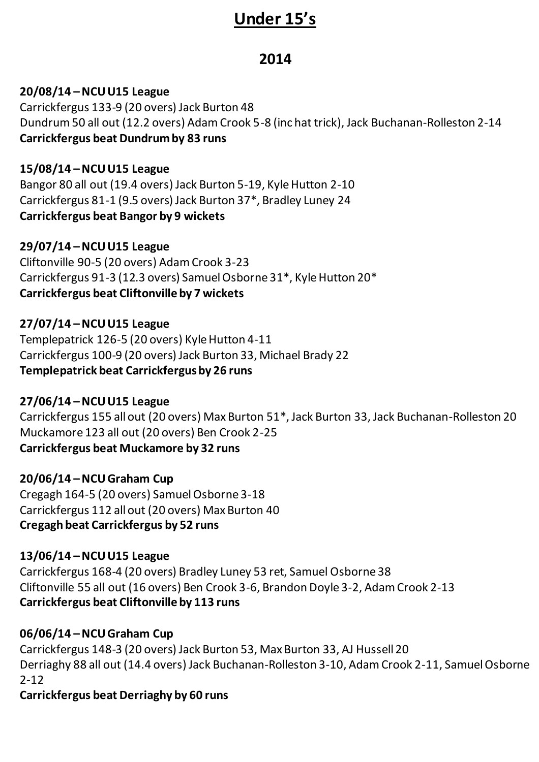# **Under 15's**

# **2014**

# **20/08/14 –NCU U15 League**

Carrickfergus 133-9 (20 overs) Jack Burton 48 Dundrum 50 all out (12.2 overs) Adam Crook 5-8 (inc hat trick), Jack Buchanan-Rolleston 2-14 **Carrickfergus beat Dundrum by 83 runs**

#### **15/08/14 –NCU U15 League**

Bangor 80 all out (19.4 overs) Jack Burton 5-19, Kyle Hutton 2-10 Carrickfergus 81-1 (9.5 overs) Jack Burton 37\*, Bradley Luney 24 **Carrickfergus beat Bangor by 9 wickets**

#### **29/07/14 –NCU U15 League**

Cliftonville 90-5 (20 overs) Adam Crook 3-23 Carrickfergus 91-3 (12.3 overs) Samuel Osborne 31\*, Kyle Hutton 20\* **Carrickfergus beat Cliftonville by 7 wickets**

#### **27/07/14 –NCU U15 League**

Templepatrick 126-5 (20 overs) Kyle Hutton 4-11 Carrickfergus 100-9 (20 overs) Jack Burton 33, Michael Brady 22 **Templepatrick beat Carrickfergus by 26 runs**

# **27/06/14 –NCU U15 League**

Carrickfergus 155 all out (20 overs) Max Burton 51\*, Jack Burton 33, Jack Buchanan-Rolleston 20 Muckamore 123 all out (20 overs) Ben Crook 2-25 **Carrickfergus beat Muckamore by 32 runs**

#### **20/06/14 –NCU Graham Cup**

Cregagh 164-5 (20 overs) Samuel Osborne 3-18 Carrickfergus 112 all out (20 overs) Max Burton 40 **Cregagh beat Carrickfergus by 52 runs**

#### **13/06/14 –NCU U15 League**

Carrickfergus 168-4 (20 overs) Bradley Luney 53 ret, Samuel Osborne 38 Cliftonville 55 all out (16 overs) Ben Crook 3-6, Brandon Doyle 3-2, Adam Crook 2-13 **Carrickfergus beat Cliftonville by 113 runs**

# **06/06/14 –NCU Graham Cup**

Carrickfergus 148-3 (20 overs) Jack Burton 53, Max Burton 33, AJ Hussell 20 Derriaghy 88 all out (14.4 overs) Jack Buchanan-Rolleston 3-10, Adam Crook 2-11, Samuel Osborne 2-12

# **Carrickfergus beat Derriaghy by 60 runs**